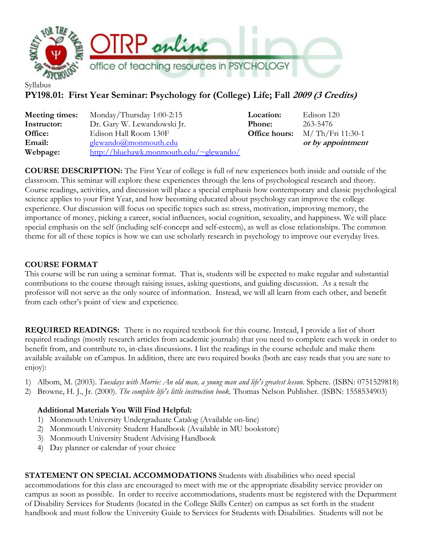

## **PY198.01: First Year Seminar: Psychology for (College) Life; Fall 2009 (3 Credits)**

| Meeting times: | Monday/Thursday $1:00-2:15$             | Location:     | Edison 120 |
|----------------|-----------------------------------------|---------------|------------|
| Instructor:    | Dr. Gary W. Lewandowski Jr.             | <b>Phone:</b> | 263-5476   |
| Office:        | Edison Hall Room 130F                   | Office hours: | M/Th/Fri   |
| Email:         | glewando@monmouth.edu                   |               | or by appo |
| Webpage:       | http://bluehawk.monmouth.edu/~glewando/ |               |            |

| <b>Location:</b> | Edison 120         |
|------------------|--------------------|
| <b>Phone:</b>    | 263-5476           |
| Office hours:    | $M/Th/Fri$ 11:30-1 |
|                  | or by appointment  |

**COURSE DESCRIPTION:** The First Year of college is full of new experiences both inside and outside of the classroom. This seminar will explore these experiences through the lens of psychological research and theory. Course readings, activities, and discussion will place a special emphasis how contemporary and classic psychological science applies to your First Year, and how becoming educated about psychology can improve the college experience. Our discussion will focus on specific topics such as: stress, motivation, improving memory, the importance of money, picking a career, social influences, social cognition, sexuality, and happiness. We will place special emphasis on the self (including self-concept and self-esteem), as well as close relationships. The common theme for all of these topics is how we can use scholarly research in psychology to improve our everyday lives.

#### **COURSE FORMAT**

This course will be run using a seminar format. That is, students will be expected to make regular and substantial contributions to the course through raising issues, asking questions, and guiding discussion. As a result the professor will not serve as the only source of information. Instead, we will all learn from each other, and benefit from each other's point of view and experience.

**REQUIRED READINGS:** There is no required textbook for this course. Instead, I provide a list of short required readings (mostly research articles from academic journals) that you need to complete each week in order to benefit from, and contribute to, in-class discussions. I list the readings in the course schedule and make them available available on eCampus. In addition, there are two required books (both are easy reads that you are sure to enjoy):

- 1) Albom, M. (2003). *Tuesdays with Morrie: An old man, a young man and life's greatest lesson.* Sphere. (ISBN: 0751529818)
- 2) Browne, H. J., Jr. (2000). *The complete life's little instruction book.* Thomas Nelson Publisher. (ISBN: 1558534903)

#### **Additional Materials You Will Find Helpful:**

- 1) Monmouth University Undergraduate Catalog (Available on-line)
- 2) Monmouth University Student Handbook (Available in MU bookstore)
- 3) Monmouth University Student Advising Handbook
- 4) Day planner or calendar of your choice

**STATEMENT ON SPECIAL ACCOMMODATIONS** Students with disabilities who need special accommodations for this class are encouraged to meet with me or the appropriate disability service provider on campus as soon as possible. In order to receive accommodations, students must be registered with the Department of Disability Services for Students (located in the College Skills Center) on campus as set forth in the student handbook and must follow the University Guide to Services for Students with Disabilities. Students will not be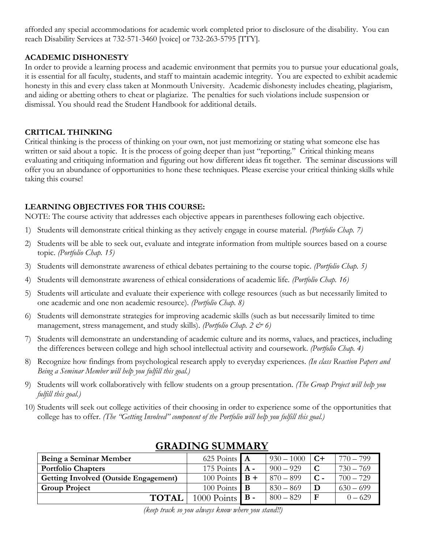afforded any special accommodations for academic work completed prior to disclosure of the disability. You can reach Disability Services at 732-571-3460 [voice] or 732-263-5795 [TTY].

#### **ACADEMIC DISHONESTY**

In order to provide a learning process and academic environment that permits you to pursue your educational goals, it is essential for all faculty, students, and staff to maintain academic integrity. You are expected to exhibit academic honesty in this and every class taken at Monmouth University. Academic dishonesty includes cheating, plagiarism, and aiding or abetting others to cheat or plagiarize. The penalties for such violations include suspension or dismissal. You should read the Student Handbook for additional details.

#### **CRITICAL THINKING**

Critical thinking is the process of thinking on your own, not just memorizing or stating what someone else has written or said about a topic. It is the process of going deeper than just "reporting." Critical thinking means evaluating and critiquing information and figuring out how different ideas fit together. The seminar discussions will offer you an abundance of opportunities to hone these techniques. Please exercise your critical thinking skills while taking this course!

#### **LEARNING OBJECTIVES FOR THIS COURSE:**

NOTE: The course activity that addresses each objective appears in parentheses following each objective.

- 1) Students will demonstrate critical thinking as they actively engage in course material. *(Portfolio Chap. 7)*
- 2) Students will be able to seek out, evaluate and integrate information from multiple sources based on a course topic. *(Portfolio Chap. 15)*
- 3) Students will demonstrate awareness of ethical debates pertaining to the course topic. *(Portfolio Chap. 5)*
- 4) Students will demonstrate awareness of ethical considerations of academic life. *(Portfolio Chap. 16)*
- 5) Students will articulate and evaluate their experience with college resources (such as but necessarily limited to one academic and one non academic resource). *(Portfolio Chap. 8)*
- 6) Students will demonstrate strategies for improving academic skills (such as but necessarily limited to time management, stress management, and study skills). *(Portfolio Chap. 2 & 6)*
- 7) Students will demonstrate an understanding of academic culture and its norms, values, and practices, including the differences between college and high school intellectual activity and coursework. *(Portfolio Chap. 4)*
- 8) Recognize how findings from psychological research apply to everyday experiences. *(In class Reaction Papers and Being a Seminar Member will help you fulfill this goal.)*
- 9) Students will work collaboratively with fellow students on a group presentation. *(The Group Project will help you fulfill this goal.)*
- 10) Students will seek out college activities of their choosing in order to experience some of the opportunities that college has to offer. *(The "Getting Involved" component of the Portfolio will help you fulfill this goal.)*

| Being a Seminar Member                       | 625 Points $\mathbf{A}$             | $930 - 1000$ | $C+$        | $770 - 799$ |
|----------------------------------------------|-------------------------------------|--------------|-------------|-------------|
| <b>Portfolio Chapters</b>                    | 175 Points $\mathbf{A}$ -           | $900 - 929$  |             | $730 - 769$ |
| <b>Getting Involved (Outside Engagement)</b> | 100 Points $\mathbf{B}$ +           | $870 - 899$  |             | $700 - 729$ |
| <b>Group Project</b>                         | 100 Points $\vert \mathbf{B} \vert$ | $830 - 869$  |             | $630 - 699$ |
| <b>TOTAL</b>                                 | $1000$ Points $\mathbf{B}$ -        | $800 - 829$  | $\mathbf F$ | $0 - 629$   |

### **GRADING SUMMARY**

*<sup>(</sup>keep track so you always know where you stand!!)*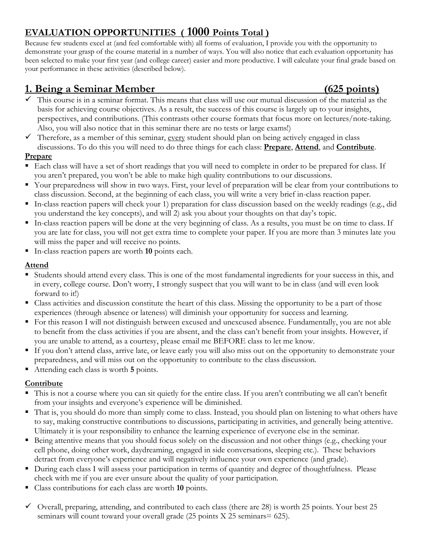# **EVALUATION OPPORTUNITIES ( 1000 Points Total )**

Because few students excel at (and feel comfortable with) all forms of evaluation, I provide you with the opportunity to demonstrate your grasp of the course material in a number of ways. You will also notice that each evaluation opportunity has been selected to make your first year (and college career) easier and more productive. I will calculate your final grade based on your performance in these activities (described below).

## **1. Being a Seminar Member (625 points)**

- $\checkmark$  This course is in a seminar format. This means that class will use our mutual discussion of the material as the basis for achieving course objectives. As a result, the success of this course is largely up to your insights, perspectives, and contributions. (This contrasts other course formats that focus more on lectures/note-taking. Also, you will also notice that in this seminar there are no tests or large exams!)
- $\checkmark$  Therefore, as a member of this seminar, every student should plan on being actively engaged in class discussions. To do this you will need to do three things for each class: **Prepare**, **Attend**, and **Contribute**.

#### **Prepare**

- Each class will have a set of short readings that you will need to complete in order to be prepared for class. If you aren't prepared, you won't be able to make high quality contributions to our discussions.
- Your preparedness will show in two ways. First, your level of preparation will be clear from your contributions to class discussion. Second, at the beginning of each class, you will write a very brief in-class reaction paper.
- In-class reaction papers will check your 1) preparation for class discussion based on the weekly readings (e.g., did you understand the key concepts), and will 2) ask you about your thoughts on that day's topic.
- In-class reaction papers will be done at the very beginning of class. As a results, you must be on time to class. If you are late for class, you will not get extra time to complete your paper. If you are more than 3 minutes late you will miss the paper and will receive no points.
- In-class reaction papers are worth **10** points each.

#### **Attend**

- Students should attend every class. This is one of the most fundamental ingredients for your success in this, and in every, college course. Don't worry, I strongly suspect that you will want to be in class (and will even look forward to it!)
- Class activities and discussion constitute the heart of this class. Missing the opportunity to be a part of those experiences (through absence or lateness) will diminish your opportunity for success and learning.
- For this reason I will not distinguish between excused and unexcused absence. Fundamentally, you are not able to benefit from the class activities if you are absent, and the class can't benefit from your insights. However, if you are unable to attend, as a courtesy, please email me BEFORE class to let me know.
- If you don't attend class, arrive late, or leave early you will also miss out on the opportunity to demonstrate your preparedness, and will miss out on the opportunity to contribute to the class discussion.
- Attending each class is worth **5** points.

### **Contribute**

- This is not a course where you can sit quietly for the entire class. If you aren't contributing we all can't benefit from your insights and everyone's experience will be diminished.
- That is, you should do more than simply come to class. Instead, you should plan on listening to what others have to say, making constructive contributions to discussions, participating in activities, and generally being attentive. Ultimately it is your responsibility to enhance the learning experience of everyone else in the seminar.
- Being attentive means that you should focus solely on the discussion and not other things (e.g., checking your cell phone, doing other work, daydreaming, engaged in side conversations, sleeping etc.). These behaviors detract from everyone's experience and will negatively influence your own experience (and grade).
- During each class I will assess your participation in terms of quantity and degree of thoughtfulness. Please check with me if you are ever unsure about the quality of your participation.
- Class contributions for each class are worth **10** points.
- Overall, preparing, attending, and contributed to each class (there are 28) is worth 25 points. Your best 25 seminars will count toward your overall grade (25 points X 25 seminars= 625).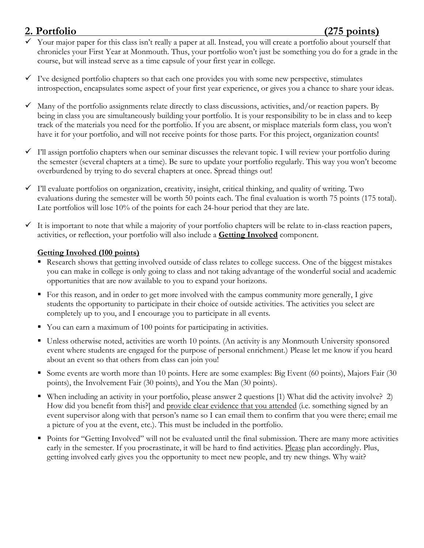- Your major paper for this class isn't really a paper at all. Instead, you will create a portfolio about yourself that chronicles your First Year at Monmouth. Thus, your portfolio won't just be something you do for a grade in the course, but will instead serve as a time capsule of your first year in college.
- $\checkmark$  I've designed portfolio chapters so that each one provides you with some new perspective, stimulates introspection, encapsulates some aspect of your first year experience, or gives you a chance to share your ideas.
- $\checkmark$  Many of the portfolio assignments relate directly to class discussions, activities, and/or reaction papers. By being in class you are simultaneously building your portfolio. It is your responsibility to be in class and to keep track of the materials you need for the portfolio. If you are absent, or misplace materials form class, you won't have it for your portfolio, and will not receive points for those parts. For this project, organization counts!
- $\checkmark$  I'll assign portfolio chapters when our seminar discusses the relevant topic. I will review your portfolio during the semester (several chapters at a time). Be sure to update your portfolio regularly. This way you won't become overburdened by trying to do several chapters at once. Spread things out!
- $\checkmark$  I'll evaluate portfolios on organization, creativity, insight, critical thinking, and quality of writing. Two evaluations during the semester will be worth 50 points each. The final evaluation is worth 75 points (175 total). Late portfolios will lose 10% of the points for each 24-hour period that they are late.
- $\checkmark$  It is important to note that while a majority of your portfolio chapters will be relate to in-class reaction papers, activities, or reflection, your portfolio will also include a **Getting Involved** component.

#### **Getting Involved (100 points)**

- Research shows that getting involved outside of class relates to college success. One of the biggest mistakes you can make in college is only going to class and not taking advantage of the wonderful social and academic opportunities that are now available to you to expand your horizons.
- For this reason, and in order to get more involved with the campus community more generally, I give students the opportunity to participate in their choice of outside activities. The activities you select are completely up to you, and I encourage you to participate in all events.
- You can earn a maximum of 100 points for participating in activities.
- Unless otherwise noted, activities are worth 10 points. (An activity is any Monmouth University sponsored event where students are engaged for the purpose of personal enrichment.) Please let me know if you heard about an event so that others from class can join you!
- Some events are worth more than 10 points. Here are some examples: Big Event (60 points), Majors Fair (30 points), the Involvement Fair (30 points), and You the Man (30 points).
- When including an activity in your portfolio, please answer 2 questions [1) What did the activity involve? 2) How did you benefit from this?] and provide clear evidence that you attended (i.e. something signed by an event supervisor along with that person's name so I can email them to confirm that you were there; email me a picture of you at the event, etc.). This must be included in the portfolio.
- Points for "Getting Involved" will not be evaluated until the final submission. There are many more activities early in the semester. If you procrastinate, it will be hard to find activities. Please plan accordingly. Plus, getting involved early gives you the opportunity to meet new people, and try new things. Why wait?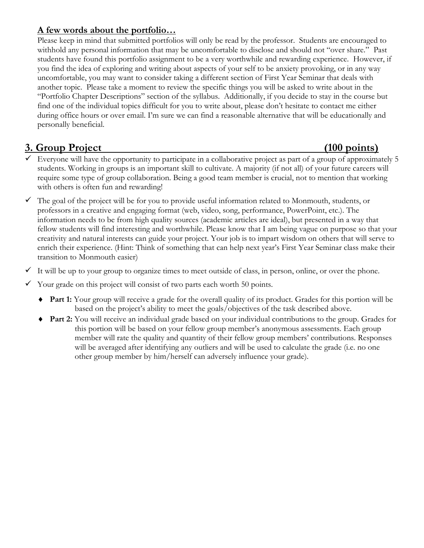#### **A few words about the portfolio…**

Please keep in mind that submitted portfolios will only be read by the professor. Students are encouraged to withhold any personal information that may be uncomfortable to disclose and should not "over share." Past students have found this portfolio assignment to be a very worthwhile and rewarding experience. However, if you find the idea of exploring and writing about aspects of your self to be anxiety provoking, or in any way uncomfortable, you may want to consider taking a different section of First Year Seminar that deals with another topic. Please take a moment to review the specific things you will be asked to write about in the "Portfolio Chapter Descriptions" section of the syllabus. Additionally, if you decide to stay in the course but find one of the individual topics difficult for you to write about, please don't hesitate to contact me either during office hours or over email. I'm sure we can find a reasonable alternative that will be educationally and personally beneficial.

## **3. Group Project (100 points)**

- Everyone will have the opportunity to participate in a collaborative project as part of a group of approximately 5 students. Working in groups is an important skill to cultivate. A majority (if not all) of your future careers will require some type of group collaboration. Being a good team member is crucial, not to mention that working with others is often fun and rewarding!
- $\checkmark$  The goal of the project will be for you to provide useful information related to Monmouth, students, or professors in a creative and engaging format (web, video, song, performance, PowerPoint, etc.). The information needs to be from high quality sources (academic articles are ideal), but presented in a way that fellow students will find interesting and worthwhile. Please know that I am being vague on purpose so that your creativity and natural interests can guide your project. Your job is to impart wisdom on others that will serve to enrich their experience. (Hint: Think of something that can help next year's First Year Seminar class make their transition to Monmouth easier)

 $\checkmark$  It will be up to your group to organize times to meet outside of class, in person, online, or over the phone.

- $\checkmark$  Your grade on this project will consist of two parts each worth 50 points.
	- ◆ **Part 1:** Your group will receive a grade for the overall quality of its product. Grades for this portion will be based on the project's ability to meet the goals/objectives of the task described above.
	- **Part 2:** You will receive an individual grade based on your individual contributions to the group. Grades for this portion will be based on your fellow group member's anonymous assessments. Each group member will rate the quality and quantity of their fellow group members' contributions. Responses will be averaged after identifying any outliers and will be used to calculate the grade (i.e. no one other group member by him/herself can adversely influence your grade).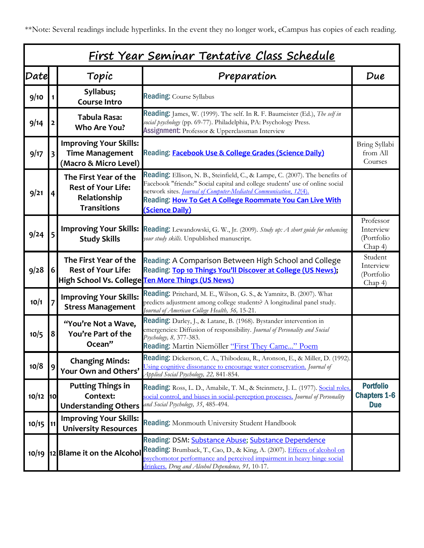\*\*Note: Several readings include hyperlinks. In the event they no longer work, eCampus has copies of each reading.

| <u>First Year Seminar Tentative Class Schedule</u> |                         |                                                                                          |                                                                                                                                                                                                                                                                                                                          |                                                       |
|----------------------------------------------------|-------------------------|------------------------------------------------------------------------------------------|--------------------------------------------------------------------------------------------------------------------------------------------------------------------------------------------------------------------------------------------------------------------------------------------------------------------------|-------------------------------------------------------|
| Date                                               |                         | Topic                                                                                    | Preparation                                                                                                                                                                                                                                                                                                              | Due                                                   |
| 9/10                                               |                         | Syllabus;<br><b>Course Intro</b>                                                         | <b>Reading: Course Syllabus</b>                                                                                                                                                                                                                                                                                          |                                                       |
| 9/14                                               |                         | <b>Tabula Rasa:</b><br>Who Are You?                                                      | <b>Reading:</b> James, W. (1999). The self. In R. F. Baumeister (Ed.), The self in<br>social psychology (pp. 69-77). Philadelphia, PA: Psychology Press.<br>Assignment: Professor & Upperclassman Interview                                                                                                              |                                                       |
| 9/17                                               | $\overline{\mathbf{3}}$ | <b>Improving Your Skills:</b><br><b>Time Management</b><br>(Macro & Micro Level)         | Reading: Facebook Use & College Grades (Science Daily)                                                                                                                                                                                                                                                                   | Bring Syllabi<br>from All<br>Courses                  |
| 9/21                                               | 4                       | The First Year of the<br><b>Rest of Your Life:</b><br>Relationship<br><b>Transitions</b> | <b>Reading:</b> Ellison, N. B., Steinfield, C., & Lampe, C. (2007). The benefits of<br>Facebook "friends:" Social capital and college students' use of online social<br>network sites. Journal of Computer-Mediated Communication, 12(4).<br>Reading: How To Get A College Roommate You Can Live With<br>(Science Daily) |                                                       |
| 9/24                                               |                         | <b>Improving Your Skills:</b><br><b>Study Skills</b>                                     | Reading: Lewandowski, G. W., Jr. (2009). Study up: A short guide for enhancing<br>your study skills. Unpublished manuscript.                                                                                                                                                                                             | Professor<br>Interview<br>(Portfolio<br>Chap 4)       |
| 9/28                                               | 6 <sup>1</sup>          | The First Year of the<br><b>Rest of Your Life:</b>                                       | Reading: A Comparison Between High School and College<br>Reading: Top 10 Things You'll Discover at College (US News);<br>High School Vs. College Ten More Things (US News)                                                                                                                                               | Student<br>Interview<br>(Portfolio<br>Chap 4)         |
| 10/1                                               |                         | <b>Improving Your Skills:</b><br><b>Stress Management</b>                                | <b>Reading:</b> Pritchard, M. E., Wilson, G. S., & Yamnitz, B. (2007). What<br>predicts adjustment among college students? A longitudinal panel study.<br>Journal of American College Health, 56, 15-21.                                                                                                                 |                                                       |
| 10/5                                               | 8                       | "You're Not a Wave,<br>You're Part of the<br>Ocean"                                      | <b>Reading:</b> Darley, J., & Latane, B. (1968). Bystander intervention in<br>emergencies: Diffusion of responsibility. Journal of Personality and Social<br>Psychology, 8, 377-383.<br>Reading: Martin Niemöller "First They Came" Poem                                                                                 |                                                       |
| 10/8                                               | 9                       | <b>Changing Minds:</b><br>Your Own and Others'                                           | <b>Reading:</b> Dickerson, C. A., Thibodeau, R., Aronson, E., & Miller, D. (1992).<br>Using cognitive dissonance to encourage water conservation. Journal of<br>Applied Social Psychology, 22, 841-854.                                                                                                                  |                                                       |
| 10/12                                              | $\overline{10}$         | <b>Putting Things in</b><br>Context:<br><b>Understanding Others</b>                      | Reading: Ross, L. D., Amabile, T. M., & Steinmetz, J. L. (1977). Social roles,<br>social control, and biases in social-perception processes. Journal of Personality<br>and Social Psychology, 35, 485-494.                                                                                                               | <b>Portfolio</b><br><b>Chapters 1-6</b><br><b>Due</b> |
| 10/15                                              | 11 I                    | <b>Improving Your Skills:</b><br><b>University Resources</b>                             | Reading: Monmouth University Student Handbook                                                                                                                                                                                                                                                                            |                                                       |
| 10/19                                              |                         | 12 Blame it on the Alcohol                                                               | Reading: DSM: Substance Abuse; Substance Dependence<br>Reading: Brumback, T., Cao, D., & King, A. (2007). Effects of alcohol on<br>psychomotor performance and perceived impairment in heavy binge social<br>drinkers. Drug and Alcohol Dependence, 91, 10-17.                                                           |                                                       |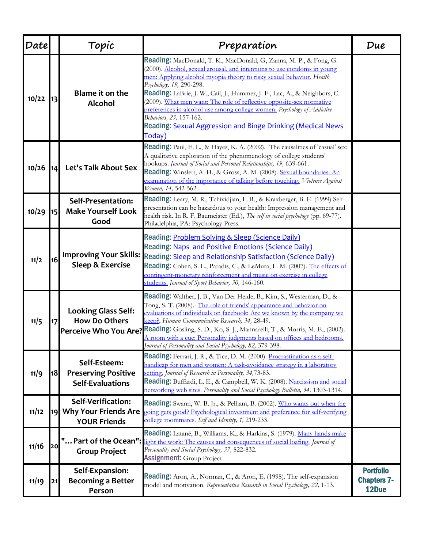| Date  |           | Topic                                                                       | Preparation                                                                                                                                                                                                                                                                                                                                                                                                                                                                                                                                                                          | Due                                             |
|-------|-----------|-----------------------------------------------------------------------------|--------------------------------------------------------------------------------------------------------------------------------------------------------------------------------------------------------------------------------------------------------------------------------------------------------------------------------------------------------------------------------------------------------------------------------------------------------------------------------------------------------------------------------------------------------------------------------------|-------------------------------------------------|
| 10/22 |           | Blame it on the<br><b>Alcohol</b>                                           | Reading: MacDonald, T. K., MacDonald, G, Zanna, M. P., & Fong, G.<br>(2000). Alcohol, sexual arousal, and intentions to use condoms in young<br>men: Applying alcohol myopia theory to risky sexual behavior. Health<br>Psychology, 19, 290-298.<br>Reading: LaBrie, J. W., Cail, J., Hummer, J. F., Lac, A., & Neighbors, C.<br>(2009). What men want: The role of reflective opposite-sex normative<br>preferences in alcohol use among college women. Psychology of Addictive<br>Behaviors, 23, 157-162.<br>Reading: Sexual Aggression and Binge Drinking (Medical News<br>Today) |                                                 |
| 10/26 | <b>14</b> | Let's Talk About Sex                                                        | <b>Reading:</b> Paul, E. L., & Hayes, K. A. (2002). The causalities of 'casual' sex:<br>A qualitative exploration of the phenomenology of college students'<br>hookups. Journal of Social and Personal Relationships, 19, 639-661.<br>Reading: Winslett, A. H., & Gross, A. M. (2008). Sexual boundaries: An<br>examination of the importance of talking before touching. Violence Against<br>Women, 14, 542-562.                                                                                                                                                                    |                                                 |
| 10/29 | 15        | Self-Presentation:<br><b>Make Yourself Look</b><br>Good                     | Reading: Leary, M. R., Tchividjian, L. R., & Kraxberger, B. E. (1999) Self-<br>presentation can be hazardous to your health: Impression management and<br>health risk. In R. F. Baumeister (Ed.), The self in social psychology (pp. 69-77).<br>Philadelphia, PA: Psychology Press.                                                                                                                                                                                                                                                                                                  |                                                 |
| 11/2  | 16        | <b>Improving Your Skills:</b><br><b>Sleep &amp; Exercise</b>                | Reading: <b>Problem Solving &amp; Sleep (Science Daily)</b><br>Reading: Naps and Positive Emotions (Science Daily)<br>Reading: Sleep and Relationship Satisfaction (Science Daily)<br>Reading: Cohen, S. L., Paradis, C., & LeMura, L. M. (2007). The effects of<br>contingent-monetary reinforcement and music on exercise in college<br>students. Journal of Sport Behavior, 30, 146-160.                                                                                                                                                                                          |                                                 |
| 11/5  |           | <b>Looking Glass Self:</b><br><b>How Do Others</b><br>Perceive Who You Are? | Reading: Walther, J. B., Van Der Heide, B., Kim, S., Westerman, D., &<br>Tong, S. T. (2008). The role of friends' appearance and behavior on<br>evaluations of individuals on facebook: Are we known by the company we<br>keep?, Human Communication Research, 34, 28-49.<br>Reading: Gosling, S. D., Ko, S. J., Mannarelli, T., & Morris, M. E., (2002).<br>A room with a cue: Personality judgments based on offices and bedrooms.<br>Tournal of Personality and Social Psychology, 82, 379-398.                                                                                   |                                                 |
| 11/9  | 18        | Self-Esteem:<br><b>Preserving Positive</b><br><b>Self-Evaluations</b>       | Reading: Ferrari, J. R., & Tice, D. M. (2000). Procrastination as a self-<br>handicap for men and women: A task-avoidance strategy in a laboratory<br>setting. Journal of Research in Personality, 34,73-83.<br>Reading: Buffardi, L. E., & Campbell, W. K. (2008). Narcissism and social<br>networking web sites. Personality and Social Psychology Bulletin, 34, 1303-1314.                                                                                                                                                                                                        |                                                 |
| 11/12 | 19        | Self-Verification:<br><b>Why Your Friends Are</b><br><b>YOUR Friends</b>    | <b>Reading:</b> Swann, W. B. Jr., & Pelham, B. (2002). Who wants out when the<br>total gets good? Psychological investment and preference for self-verifying<br>college roommates. Self and Identity, 1, 219-233.                                                                                                                                                                                                                                                                                                                                                                    |                                                 |
| 11/16 | 20        | <b>Group Project</b>                                                        | Reading: Latané, B., Williams, K., & Harkins, S. (1979). Many hands make<br>" Part of the Ocean": light the work: The causes and consequences of social loafing. Journal of<br>Personality and Social Psychology, 37, 822-832.<br><b>Assignment: Group Project</b>                                                                                                                                                                                                                                                                                                                   |                                                 |
| 11/19 | 21        | Self-Expansion:<br><b>Becoming a Better</b><br>Person                       | <b>Reading:</b> Aron, A., Norman, C., & Aron, E. (1998). The self-expansion<br>model and motivation. Representative Research in Social Psychology, 22, 1-13.                                                                                                                                                                                                                                                                                                                                                                                                                         | <b>Portfolio</b><br><b>Chapters 7-</b><br>12Due |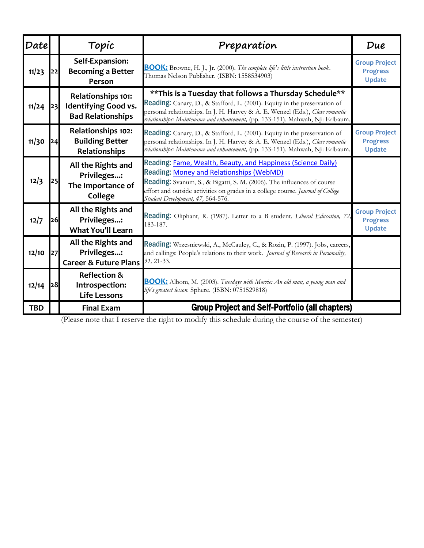| <b>Date</b> |    | Topic                                                                  | Preparation                                                                                                                                                                                                                                                                                                       | Due                                                      |
|-------------|----|------------------------------------------------------------------------|-------------------------------------------------------------------------------------------------------------------------------------------------------------------------------------------------------------------------------------------------------------------------------------------------------------------|----------------------------------------------------------|
| 11/23       | 22 | Self-Expansion:<br><b>Becoming a Better</b><br>Person                  | <b>BOOK:</b> Browne, H. J., Jr. (2000). The complete life's little instruction book.<br>Thomas Nelson Publisher. (ISBN: 1558534903)                                                                                                                                                                               | <b>Group Project</b><br><b>Progress</b><br><b>Update</b> |
| 11/24       | 23 | Relationships 101:<br>Identifying Good vs.<br><b>Bad Relationships</b> | ** This is a Tuesday that follows a Thursday Schedule**<br>Reading: Canary, D., & Stafford, L. (2001). Equity in the preservation of<br>personal relationships. In J. H. Harvey & A. E. Wenzel (Eds.), Close romantic<br>relationships: Maintenance and enhancement, (pp. 133-151). Mahwah, NJ: Erlbaum.          |                                                          |
| 11/30       | 24 | Relationships 102:<br><b>Building Better</b><br>Relationships          | Reading: Canary, D., & Stafford, L. (2001). Equity in the preservation of<br>personal relationships. In J. H. Harvey & A. E. Wenzel (Eds.), Close romantic<br>relationships: Maintenance and enhancement, (pp. 133-151). Mahwah, NJ: Erlbaum.                                                                     | <b>Group Project</b><br><b>Progress</b><br><b>Update</b> |
| 12/3        | 25 | All the Rights and<br>Privileges:<br>The Importance of<br>College      | Reading: Fame, Wealth, Beauty, and Happiness (Science Daily)<br>Reading: Money and Relationships (WebMD)<br><b>Reading:</b> Svanum, S., & Bigatti, S. M. (2006). The influences of course<br>effort and outside activities on grades in a college course. Journal of College<br>Student Development, 47, 564-576. |                                                          |
| 12/7        | 26 | All the Rights and<br>Privileges:<br><b>What You'll Learn</b>          | Reading: Oliphant, R. (1987). Letter to a B student. Liberal Education, 72,<br>183-187.                                                                                                                                                                                                                           | <b>Group Project</b><br><b>Progress</b><br><b>Update</b> |
| 12/10       | 27 | All the Rights and<br>Privileges:<br><b>Career &amp; Future Plans</b>  | Reading: Wrzesniewski, A., McCauley, C., & Rozin, P. (1997). Jobs, careers,<br>and callings: People's relations to their work. Journal of Research in Personality,<br>31, 21-33.                                                                                                                                  |                                                          |
| 12/14       | 28 | <b>Reflection &amp;</b><br>Introspection:<br><b>Life Lessons</b>       | <b>BOOK:</b> Albom, M. (2003). Tuesdays with Morrie: An old man, a young man and<br>life's greatest lesson. Sphere. (ISBN: 0751529818)                                                                                                                                                                            |                                                          |
| <b>TBD</b>  |    | <b>Final Exam</b>                                                      | <b>Group Project and Self-Portfolio (all chapters)</b>                                                                                                                                                                                                                                                            |                                                          |

(Please note that I reserve the right to modify this schedule during the course of the semester)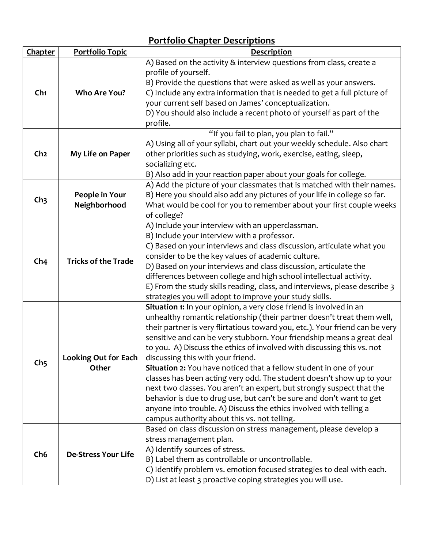| Chapter         | <b>Portfolio Topic</b>               | <b>Description</b>                                                                                                                                                                                                                                                                                                                                                                                                                                                                                                                                                                                                                                                                                                                                                                                                                                   |
|-----------------|--------------------------------------|------------------------------------------------------------------------------------------------------------------------------------------------------------------------------------------------------------------------------------------------------------------------------------------------------------------------------------------------------------------------------------------------------------------------------------------------------------------------------------------------------------------------------------------------------------------------------------------------------------------------------------------------------------------------------------------------------------------------------------------------------------------------------------------------------------------------------------------------------|
| Ch1             | Who Are You?                         | A) Based on the activity & interview questions from class, create a<br>profile of yourself.<br>B) Provide the questions that were asked as well as your answers.<br>C) Include any extra information that is needed to get a full picture of<br>your current self based on James' conceptualization.<br>D) You should also include a recent photo of yourself as part of the<br>profile.                                                                                                                                                                                                                                                                                                                                                                                                                                                             |
| Ch <sub>2</sub> | My Life on Paper                     | "If you fail to plan, you plan to fail."<br>A) Using all of your syllabi, chart out your weekly schedule. Also chart<br>other priorities such as studying, work, exercise, eating, sleep,<br>socializing etc.<br>B) Also add in your reaction paper about your goals for college.                                                                                                                                                                                                                                                                                                                                                                                                                                                                                                                                                                    |
| Ch <sub>3</sub> | People in Your<br>Neighborhood       | A) Add the picture of your classmates that is matched with their names.<br>B) Here you should also add any pictures of your life in college so far.<br>What would be cool for you to remember about your first couple weeks<br>of college?                                                                                                                                                                                                                                                                                                                                                                                                                                                                                                                                                                                                           |
| Ch <sub>4</sub> | <b>Tricks of the Trade</b>           | A) Include your interview with an upperclassman.<br>B) Include your interview with a professor.<br>C) Based on your interviews and class discussion, articulate what you<br>consider to be the key values of academic culture.<br>D) Based on your interviews and class discussion, articulate the<br>differences between college and high school intellectual activity.<br>E) From the study skills reading, class, and interviews, please describe 3<br>strategies you will adopt to improve your study skills.                                                                                                                                                                                                                                                                                                                                    |
| Ch <sub>5</sub> | <b>Looking Out for Each</b><br>Other | <b>Situation 1:</b> In your opinion, a very close friend is involved in an<br>unhealthy romantic relationship (their partner doesn't treat them well,<br>their partner is very flirtatious toward you, etc.). Your friend can be very<br>sensitive and can be very stubborn. Your friendship means a great deal<br>to you. A) Discuss the ethics of involved with discussing this vs. not<br>discussing this with your friend.<br>Situation 2: You have noticed that a fellow student in one of your<br>classes has been acting very odd. The student doesn't show up to your<br>next two classes. You aren't an expert, but strongly suspect that the<br>behavior is due to drug use, but can't be sure and don't want to get<br>anyone into trouble. A) Discuss the ethics involved with telling a<br>campus authority about this vs. not telling. |
| Ch <sub>6</sub> | <b>De-Stress Your Life</b>           | Based on class discussion on stress management, please develop a<br>stress management plan.<br>A) Identify sources of stress.<br>B) Label them as controllable or uncontrollable.<br>C) Identify problem vs. emotion focused strategies to deal with each.<br>D) List at least 3 proactive coping strategies you will use.                                                                                                                                                                                                                                                                                                                                                                                                                                                                                                                           |

## **Portfolio Chapter Descriptions**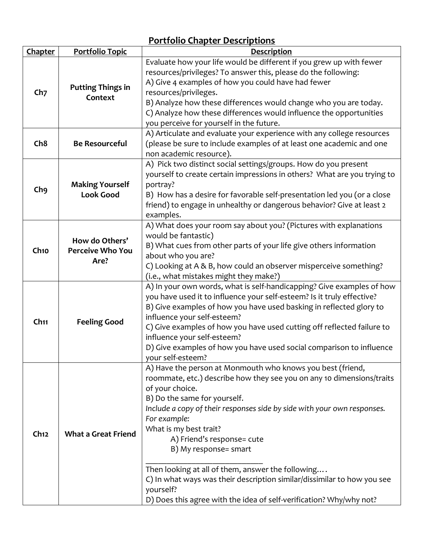#### **Chapter Portfolio Topic Description Ch7 Putting Things in Context** Evaluate how your life would be different if you grew up with fewer resources/privileges? To answer this, please do the following: A) Give 4 examples of how you could have had fewer resources/privileges. B) Analyze how these differences would change who you are today. C) Analyze how these differences would influence the opportunities you perceive for yourself in the future. **Ch8 Be Resourceful** A) Articulate and evaluate your experience with any college resources (please be sure to include examples of at least one academic and one non academic resource). **Ch9 Making Yourself Look Good** A) Pick two distinct social settings/groups. How do you present yourself to create certain impressions in others? What are you trying to portray? B) How has a desire for favorable self-presentation led you (or a close friend) to engage in unhealthy or dangerous behavior? Give at least 2 examples. **Ch10 How do Others' Perceive Who You Are?** A) What does your room say about you? (Pictures with explanations would be fantastic) B) What cues from other parts of your life give others information about who you are? C) Looking at A & B, how could an observer misperceive something? (i.e., what mistakes might they make?) **Ch11 Feeling Good** A) In your own words, what is self-handicapping? Give examples of how you have used it to influence your self-esteem? Is it truly effective? B) Give examples of how you have used basking in reflected glory to influence your self-esteem? C) Give examples of how you have used cutting off reflected failure to influence your self-esteem? D) Give examples of how you have used social comparison to influence your self-esteem? **Ch12 What a Great Friend** A) Have the person at Monmouth who knows you best (friend, roommate, etc.) describe how they see you on any 10 dimensions/traits of your choice. B) Do the same for yourself. *Include a copy of their responses side by side with your own responses. For example:* What is my best trait? A) Friend's response= cute B) My response= smart \_\_\_\_\_\_\_\_\_\_\_\_\_\_\_\_\_\_\_\_\_\_\_\_\_\_\_\_ Then looking at all of them, answer the following…. C) In what ways was their description similar/dissimilar to how you see yourself? D) Does this agree with the idea of self-verification? Why/why not?

### **Portfolio Chapter Descriptions**